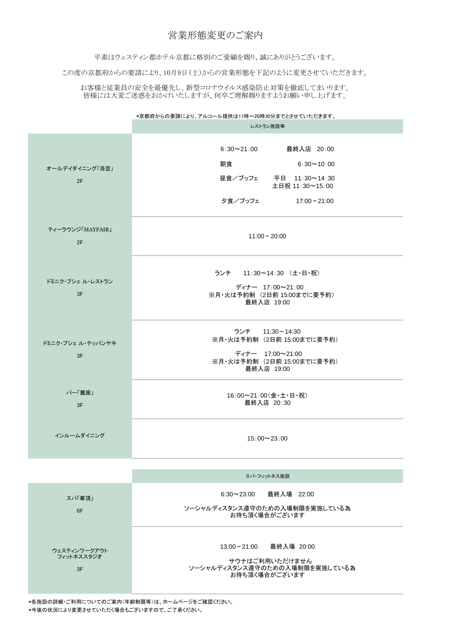\*京都府からの要請により、アルコール提供は11時~20時30分までとさせていただきます。

|                         | レストラン施設等                                                                                                                |
|-------------------------|-------------------------------------------------------------------------------------------------------------------------|
| オールデイダイニング「洛空」<br>2F    | 6:30~21:00 最終入店 20:00<br>朝食<br>$6:30 \sim 10:00$<br>昼食/ブッフェ<br>平日 11:30~14:30<br>土日祝 11:30~15:00<br>夕食/ブッフェ 17:00~21:00 |
| ティーラウンジ「MAYFAIR」<br>2F  | $11:00 - 20:00$                                                                                                         |
| ドミニク・ブシェ ル・レストラン<br>3F  | ランチ 11:30~14:30 (土・日・祝)<br>ディナー 17:00~21:00<br>※月・火は予約制 (2日前 15:00までに要予約)<br>最終入店 19:00                                 |
| ドミニク・ブシェ ル・テッパンヤキ<br>3F | ランチ 11:30~14:30<br>※月・火は予約制 (2日前 15:00までに要予約)<br>ディナー 17:00~21:00<br>※月・火は予約制 (2日前 15:00までに要予約)<br>最終入店 19:00           |
| バー「麓座」<br>3F            | 16:00~21:00(金·土·日·祝)<br>最終入店 20:30                                                                                      |
| インルームダイニング              | $15:00 \sim 23:00$                                                                                                      |

|                                  | スパ・フィットネス施設                                                                                  |
|----------------------------------|----------------------------------------------------------------------------------------------|
| スパ華頂」<br>6F                      | 6:30~23:00  最終入場 22:00<br>ソーシャルディスタンス遵守のための入場制限を実施している為<br>お待ち頂く場合がございます                     |
| ウェスティンワークアウト<br>フィットネススタジオ<br>3F | 13:00~21:00   最終入場 20:00<br>サウナはご利用いただけません<br>ソーシャルディスタンス遵守のための入場制限を実施している為<br>お待ち頂く場合がございます |

## 営業形態変更のご案内

平素はウェスティン都ホテル京都に格別のご愛顧を賜り、誠にありがとうございます。

この度の京都府からの要請により、10月9日(土)からの営業形態を下記のように変更させていただきます。

お客様と従業員の安全を最優先し、新型コロナウイルス感染防止対策を徹底してまいります。 皆様には大変ご迷惑をおかけいたしますが、何卒ご理解賜りますようお願い申し上げます。

\*各施設の詳細・ご利用についてのご案内(年齢制限等)は、ホームページをご確認ください。 \*今後の状況により変更させていただく場合もございますので、ご了承ください。